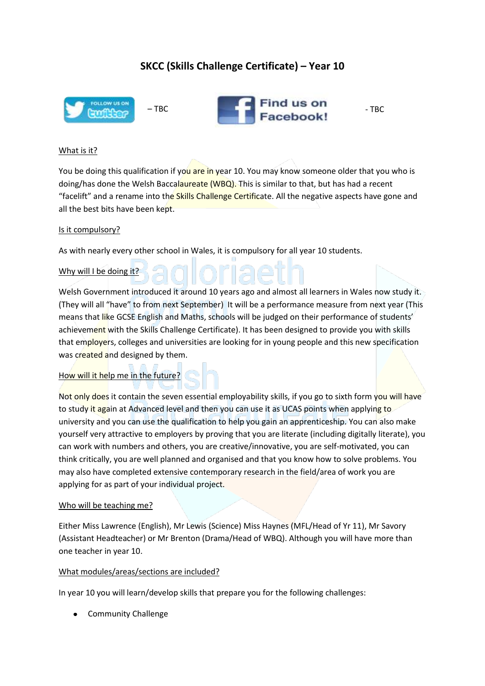# **SKCC (Skills Challenge Certificate) – Year 10**



## What is it?

You be doing this qualification if you are in year 10. You may know someone older that you who is doing/has done the Welsh Baccalaureate (WBQ). This is similar to that, but has had a recent "facelift" and a rename into the Skills Challenge Certificate. All the negative aspects have gone and all the best bits have been kept.

#### Is it compulsory?

As with nearly every other school in Wales, it is compulsory for all year 10 students.

## Why will I be doing it?

Welsh Government introduced it around 10 years ago and almost all learners in Wales now study it. (They will all "have" to from next September) It will be a performance measure from next year (This means that like GCSE English and Maths, schools will be judged on their performance of students' achievement with the Skills Challenge Certificate). It has been designed to provide you with skills that employers, colleges and universities are looking for in young people and this new specification was created and designed by them.

#### How will it help me in the future?

Not only does it contain the seven essential employability skills, if you go to sixth form you will have to study it again at Advanced level and then you can use it as UCAS points when applying to university and you can use the qualification to help you gain an apprenticeship. You can also make yourself very attractive to employers by proving that you are literate (including digitally literate), you can work with numbers and others, you are creative/innovative, you are self-motivated, you can think critically, you are well planned and organised and that you know how to solve problems. You may also have completed extensive contemporary research in the field/area of work you are applying for as part of your individual project.

#### Who will be teaching me?

Either Miss Lawrence (English), Mr Lewis (Science) Miss Haynes (MFL/Head of Yr 11), Mr Savory (Assistant Headteacher) or Mr Brenton (Drama/Head of WBQ). Although you will have more than one teacher in year 10.

#### What modules/areas/sections are included?

In year 10 you will learn/develop skills that prepare you for the following challenges:

• Community Challenge